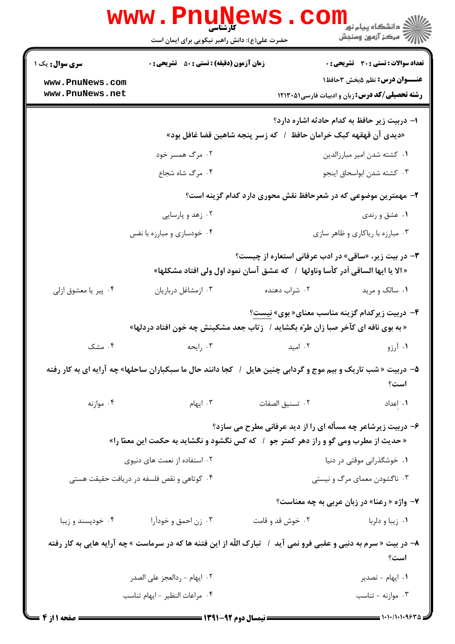|                                            | <b>www.PnuNews</b><br>حضرت علی(ع): دانش راهبر نیکویی برای ایمان است                                                           |                                  | لاد دانشگاه پيام نور <mark>--</mark><br>   ><br>   > مرکز آزمون وسنڊش                         |
|--------------------------------------------|-------------------------------------------------------------------------------------------------------------------------------|----------------------------------|-----------------------------------------------------------------------------------------------|
| <b>سری سوال :</b> یک ۱                     | <b>زمان آزمون (دقیقه) : تستی : 50 ٪ تشریحی : 0</b>                                                                            |                                  | <b>تعداد سوالات : تستی : 30 ٪ تشریحی : 0</b>                                                  |
| www.PnuNews.com<br>www.PnuNews.net         |                                                                                                                               |                                  | <b>عنـــوان درس:</b> نظم ۵بخش ۳حافظ۱<br><b>رشته تحصیلی/کد درس:</b> زبان و ادبیات فارسی1۲۱۳۰۵۱ |
|                                            | «دیدی آن قهقهه کبک خرامان حافظ ۱ که زسر پنجه شاهین قضا غافل بود»                                                              |                                  | ا– دربیت زیر حافظ به کدام حادثه اشاره دارد؟                                                   |
| ۰۲ مرگ همسر خود                            |                                                                                                                               | ٠١ كشته شدن امير مبارزالدين      |                                                                                               |
|                                            | ۰۴ مرگ شاه شجاع                                                                                                               |                                  | ٠٣ كشته شدن ابواسحاق اينجو                                                                    |
|                                            |                                                                                                                               |                                  | ۲– مهمترین موضوعی که در شعرحافظ نقش محوری دارد کدام گزینه است؟                                |
| ۰۲ زهد و پارسایی                           |                                                                                                                               | ۰۱ عشق و رندی                    |                                                                                               |
| ۰۴ خودسازی و مبارزه با نفس                 |                                                                                                                               | ۰۳ مبارزه با ریاکاری و ظاهر سازی |                                                                                               |
|                                            | « الا يا ايها الساقي أدر كأسا وناولها  /   كه عشق آسان نمود اول ولي افتاد مشكلها»                                             |                                  | <b>۳</b> - در بیت زیر، «ساقی» در ادب عرفانی استعاره از چیست؟                                  |
| ۰۴ پیر یا معشوق ازلی                       | ۰۳ ازمشاغل درباريان                                                                                                           | ۰۲ شراب دهنده                    | ۰۱ سالک و مرید                                                                                |
|                                            | « به بوی نافه ای کآخر صبا زان طرّه بگشاید /   زتاب جعد مشکینش چه خون افتاد دردلها»                                            |                                  | ۴- دربیت زیرکدام گزینه مناسب معنای« بوی» نیست؟                                                |
| ۰۴ مشک                                     | ۰۳ رايحه                                                                                                                      | ۰۲ امید                          | ۰۱ آرزو                                                                                       |
|                                            | ۵– دربیت « شب تاریک و بیم موج و گردابی چنین هایل ۱ کجا دانند حال ما سبکباران ساحلها» چه آرایه ای به کار رفته                  |                                  | است؟                                                                                          |
| ۰۴ موازنه                                  | ۰۳ ایهام $\cdot$                                                                                                              | ٠٢ تسنيق الصفات                  | ٠١. إعداد                                                                                     |
|                                            | « حدیث از مطرب ومی گو و راز دهر کمتر جو ۱ که کس نگشود و نگشاید به حکمت این معمّا را»                                          |                                  | ۶- دربیت زیرشاعر چه مسأله ای را از دید عرفانی مطرح می سازد؟                                   |
|                                            | ۰۲ استفاده از نعمت های دنیوی                                                                                                  | ۰۱ خوشگذرانی موقتی در دنیا       |                                                                                               |
| ۰۴ کوتاهی و نقص فلسفه در دریافت حقیقت هستی |                                                                                                                               |                                  | ۰۳ ناگشودن معمای مرگ و نیستی                                                                  |
|                                            |                                                                                                                               |                                  | ۷- واژه « رعنا» در زبان عربی به چه معناست؟                                                    |
| ۰۴ خودپسند و زيبا                          | ۰۳ زن احمق و خودآرا                                                                                                           | ۰۲ خوش قد و قامت                 | ۰۱ زیبا و دلربا                                                                               |
|                                            | ۸– در بیت « سرم به دنیی و عقبی فرو نمی آید ۱ <sup>5</sup> تبارک اللّه از این فتنه ها که در سرماست » چه آرایه هایی به کار رفته |                                  | است؟                                                                                          |
|                                            | ٠٢ ايهام - ردالعجز على الصدر                                                                                                  |                                  | ۰۱ ایهام - تصدیر                                                                              |
|                                            | ۰۴ مراعات النظير - ايهام تناسب                                                                                                |                                  | ۰۳ موازنه - تناسب                                                                             |
| <b>: صفحه ۱ از ۴ =</b>                     | = نیمسال دوم ۹۲-۱۳۹۱ =                                                                                                        |                                  | = ۱۰۱۰/۱۰۱۰۹۶۳۵                                                                               |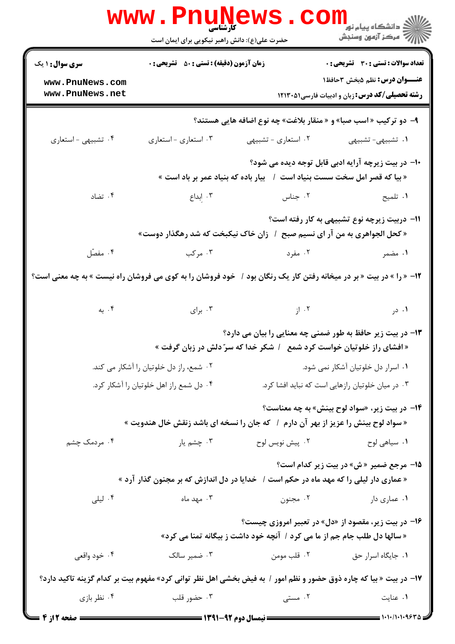|                                                                                                                                          | <b>WWW.PNUNEWS</b><br><b>کارشناسی</b><br>حضرت علی(ع): دانش راهبر نیکویی برای ایمان است |                                                                                                                                     | ر دانشڪاه پيام نور ■<br>  <i> &gt;</i> مرکز آزمون وسنڊش |  |
|------------------------------------------------------------------------------------------------------------------------------------------|----------------------------------------------------------------------------------------|-------------------------------------------------------------------------------------------------------------------------------------|---------------------------------------------------------|--|
| <b>سری سوال : ۱ یک</b>                                                                                                                   | <b>زمان آزمون (دقیقه) : تستی : 50 ٪ تشریحی : 0</b>                                     |                                                                                                                                     | <b>تعداد سوالات : تستی : 30 ٪ تشریحی : 0</b>            |  |
| www.PnuNews.com                                                                                                                          |                                                                                        |                                                                                                                                     | <b>عنـــوان درس:</b> نظم ۵بخش ۳حافظ۱                    |  |
| www.PnuNews.net                                                                                                                          |                                                                                        |                                                                                                                                     | <b>رشته تحصیلی/کد درس:</b> زبان و ادبیات فارسی1۲۱۳۰۵۱   |  |
|                                                                                                                                          |                                                                                        | ۹- دو ترکیب «اسب صبا» و « منقار بلاغت» چه نوع اضافه هایی هستند؟                                                                     |                                                         |  |
| ۰۴ تشبیهی - استعاری                                                                                                                      | ۰۳ استعاري - استعاري                                                                   | ۰۲ استعاری - تشبیهی                                                                                                                 | ١. تشبيهي-تشبيهي                                        |  |
|                                                                                                                                          |                                                                                        | « بیا که قصر امل سخت سست بنیاد است  /   بیار باده که بنیاد عمر بر باد است »                                                         | ۱۰– در بیت زیرچه آرایه ادبی قابل توجه دیده می شود؟      |  |
| ۰۴ تضاد                                                                                                                                  | ۰۳ اِبداع                                                                              | ۰۲ جناس                                                                                                                             | ۰۱ تلمیح                                                |  |
|                                                                                                                                          |                                                                                        | « كحل الجواهري به من آر اي نسيم صبح  /  زان خاک نيکبخت که شد رهگذار دوست»                                                           | 11– دربیت زیرچه نوع تشبیهی به کار رفته است؟             |  |
| ۰۴ مفصّل                                                                                                                                 | ۰۳ مرکب                                                                                | ۰۲ مفرد است.                                                                                                                        | ۰۱ مضمر                                                 |  |
| ۱۲- « را » در بیت « بر در میخانه رفتن کار یک رنگان بود / خود فروشان را به کوی می فروشان راه نیست » به چه معنی است؟                       |                                                                                        |                                                                                                                                     |                                                         |  |
| ۰۴ به                                                                                                                                    |                                                                                        | ۲. از سال ۲۰۰۳ برای                                                                                                                 | ۰۱ در                                                   |  |
|                                                                                                                                          |                                                                                        | ۱۳- در بیت زیر حافظ به طور ضمنی چه معنایی را بیان می دارد؟<br>« افشای راز خلوتیان خواست کرد شمع ٪ شکر خدا که سرّ دلش در زبان گرفت » |                                                         |  |
|                                                                                                                                          | ۰۲ شمع، راز دل خلوتیان را آشکار می کند.                                                |                                                                                                                                     | ۰۱ اسرار دل خلوتیان آشکار نمی شود.                      |  |
|                                                                                                                                          | ۰۴ دل شمع راز اهل خلوتیان را آشکار کرد.                                                |                                                                                                                                     | ۰۳ در میان خلوتیان رازهایی است که نباید افشا کرد.       |  |
|                                                                                                                                          |                                                                                        | « سواد لوح بینش را عزیز از بهر آن دارم ۱ که جان را نسخه ای باشد زنقش خال هندویت »                                                   | <b>۱۴</b> - در بیت زیر، «سواد لوح بینش» به چه معناست؟   |  |
| ۰۴ مردمک چشم                                                                                                                             | ۰۳ چشم یار                                                                             | ۰۲ پیش نویس لوح                                                                                                                     | ۰۱ سیاهی لوح                                            |  |
| <b>۱۵- مرجع ضمیر «ش» در بیت زیر کدام است؟</b><br>« عماری دار لیلی را که مهد ماه در حکم است /   خدایا در دل اندازش که بر مجنون گذار آرد » |                                                                                        |                                                                                                                                     |                                                         |  |
| ۰۴ لیلی                                                                                                                                  | ۰۳ مهد ماه                                                                             | ۰۲ مجنون                                                                                                                            | ۰۱ عماری دار                                            |  |
|                                                                                                                                          |                                                                                        | ۱۶- در بیت زیر، مقصود از «دل» در تعبیر امروزی چیست؟<br>« سالها دل طلب جام جم از ما می کرد /  آنچه خود داشت ز بیگانه تمنا می کرد»    |                                                         |  |
| ۰۴ خود واقعی                                                                                                                             | ۰۳ ضمیر سالک                                                                           |                                                                                                                                     | ۰۱ جایگاه اسرار حق مومن در است.                         |  |
|                                                                                                                                          |                                                                                        | ۱۷– در بیت « بیا که چاره ذوق حضور و نظم امور / به فیض بخشی اهل نظر توانی کرد» مفهوم بیت بر کدام گزینه تاکید دارد؟                   |                                                         |  |
| ۰۴ نظر بازی                                                                                                                              | ۰۳ حضور قلب                                                                            | ۰۲ مستی                                                                                                                             | ۰۱ عنایت                                                |  |
| <b>ـــ صفحه 2 از 4</b>                                                                                                                   |                                                                                        |                                                                                                                                     |                                                         |  |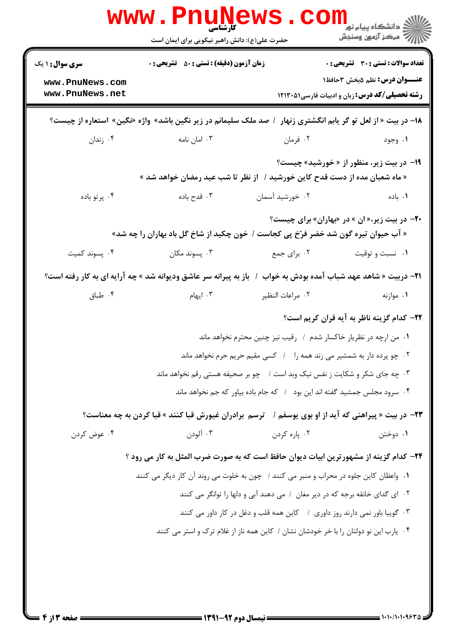| <b>سری سوال :</b> ۱ یک | <b>زمان آزمون (دقیقه) : تستی : 50 ٪ تشریحی : 0</b>                                                                    |                                                                                      | <b>تعداد سوالات : تستي : 30 ٪ تشريحي : 0</b>          |
|------------------------|-----------------------------------------------------------------------------------------------------------------------|--------------------------------------------------------------------------------------|-------------------------------------------------------|
| www.PnuNews.com        |                                                                                                                       |                                                                                      | <b>عنـــوان درس:</b> نظم ۵بخش ۳حافظ۱                  |
| www.PnuNews.net        |                                                                                                                       |                                                                                      | <b>رشته تحصیلی/کد درس: زبان و ادبیات فارسی1۲۱۳۰۵۱</b> |
|                        | ۱۸- در بیت « از لعل تو گر یابم انگشتری زنهار ۱ صد ملک سلیمانم در زیر نگین باشد» واژه «نگین» استعاره از چیست؟          |                                                                                      |                                                       |
| ۰۴ زندان               | ۰۳ امان نامه                                                                                                          | ۰۲ فرمان                                                                             | ۰۱ وجود                                               |
|                        | « ماه شعبان مده از دست قدح کاین خورشید /   از نظر تا شب عید رمضان خواهد شد »                                          |                                                                                      | ۱۹- در بیت زیر، منظور از « خورشید» چیست؟              |
| ۰۴ پرتو باده           | ۰۳ قدح باده                                                                                                           | ۰۲ خورشید آسمان                                                                      | ۰۱. باده                                              |
|                        | « آب حیوان تیره گون شد خضر فرّخ پی کجاست / خون چکید از شاخ گل باد بهاران را چه شد»                                    |                                                                                      | <b>۲۰</b> - در بیت زیر،« ان » در «بهاران» برای چیست؟  |
| ۰۴ پسوند کمیت          | ۰۳ پسوند مکان                                                                                                         | ۰۲ برای جمع                                                                          | ۰۱ نسبت و توقیت                                       |
|                        | <b>۲۱</b> – دربیت « شاهد عهد شباب آمده بودش به خواب ۱ باز به پیرانه سر عاشق ودیوانه شد » چه آرایه ای به کار رفته است؟ |                                                                                      |                                                       |
| ۰۴ طباق                | ۰۳ ایهام                                                                                                              | ۰۲ مراعات النظير                                                                     | ۰۱ موازنه                                             |
|                        |                                                                                                                       |                                                                                      | <b>۲۲</b> – کدام گزینه ناظر به آیه قران کریم است؟     |
|                        |                                                                                                                       | ۰۱ من ارچه در نظریار خاکسار شدم / رقیب نیز چنین محترم نخواهد ماند                    |                                                       |
|                        |                                                                                                                       | ۰۲ چو پرده دار به شمشیر می زند همه را <i>۱</i> کسی مقیم حریم حرم نخواهد ماند         |                                                       |
|                        |                                                                                                                       | ۰۳ چه جای شکر و شکایت ز نفس نیک وبد است / ٪ چو بر صحیفه هستی رقم نخواهد ماند         |                                                       |
|                        |                                                                                                                       | ۰۴ سرود مجلس جمشید گفته اند این بود ۱ که جام باده بیاور که جم نخواهد ماند            |                                                       |
|                        | <b>۲۳</b> - در بیت « پیراهنی که آید از او بوی یوسفم /    ترسم  برادران غیورش قبا کنند » قبا کردن به چه معناست؟        |                                                                                      |                                                       |
| ۰۴ عوض کردن            | ۰۳ آلودن                                                                                                              | ۰۲ پاره کردن                                                                         | ۰۱ دوختن                                              |
|                        | ۲۴- کدام گزینه از مشهورترین ابیات دیوان حافظ است که به صورت ضرب المثل به کار می رود ؟                                 |                                                                                      |                                                       |
|                        | ۰۱ واعظان کاین جلوه در محراب و منبر می کنند / چون به خلوت می روند آن کار دیگر می کنند                                 |                                                                                      |                                                       |
|                        |                                                                                                                       | ۰۲ ای گدای خانقه برجه که در دیر مغان ۱ می دهند آبی و دلها را توانگر می کنند          |                                                       |
|                        |                                                                                                                       | ۰۳ گوییا باور نمی دارند روز داوری ۱ کاین همه قلب و دغل در کار داور می کنند           |                                                       |
|                        |                                                                                                                       | ۰۴ یارب این نو دولتان را با خر خودشان نشان / کاین همه ناز از غلام ترک و استر می کنند |                                                       |